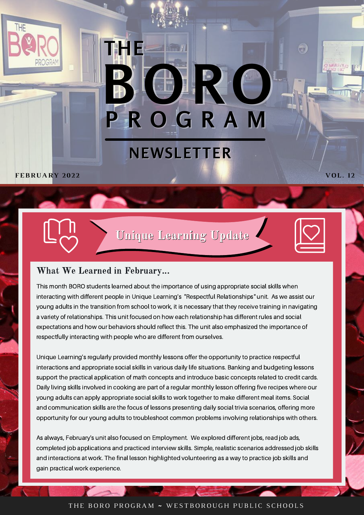

## **P R O G R A M B O R O NEWSLETTER**

**FEBRUARY 202 2 VOL. 1 2**

Unique Learning Update



**CB** 

#### What We Learned in February...

**THE**

This month BORO students learned about the importance of using appropriate social skills when interacting with different people in Unique Learning's "Respectful Relationships" unit. As we assist our young adults in the transition from school to work, it is necessary that they receive training in navigating a variety of relationships. This unit focused on how each relationship has different rules and social expectations and how our behaviors should reflect this. The unit also emphasized the importance of respectfully interacting with people who are different from ourselves.

Unique Learning's regularly provided monthly lessons offer the opportunity to practice respectful interactions and appropriate social skills in various daily life situations. Banking and budgeting lessons support the practical application of math concepts and introduce basic concepts related to credit cards. Daily living skills involved in cooking are part of a regular monthly lesson offering five recipes where our young adults can apply appropriate social skills to work together to make different meal items. Social and communication skills are the focus of lessons presenting daily social trivia scenarios, offering more opportunity for our young adults to troubleshoot common problems involving relationships with others.

As always, February's unit also focused on Employment. We explored different jobs, read job ads, completed job applications and practiced interview skills. Simple, realistic scenarios addressed job skills and interactions at work. The final lesson highlighted volunteering as a way to practice job skills and gain practical work experience.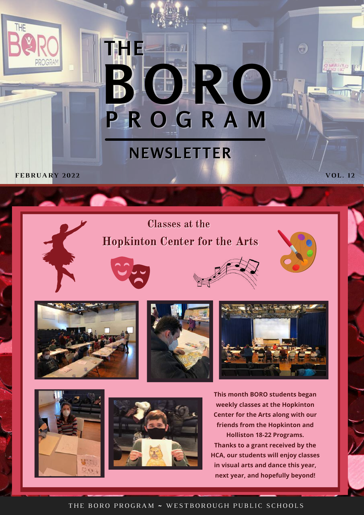# **P R O G R A M B O R O THE**

### **NEWSLETTER**

**FEBRUARY 202 2 VOL. 1 2**

**THE** 

Classes at the Hopkinton Center for the Arts









6

**MILLED** 





**This month BORO students began weekly classes at the Hopkinton Center for the Arts along with our friends from the Hopkinton and Holliston 18-22 Programs. Thanks to a grant received by the HCA, our students will enjoy classes in visual arts and dance this year, next year, and hopefully beyond!**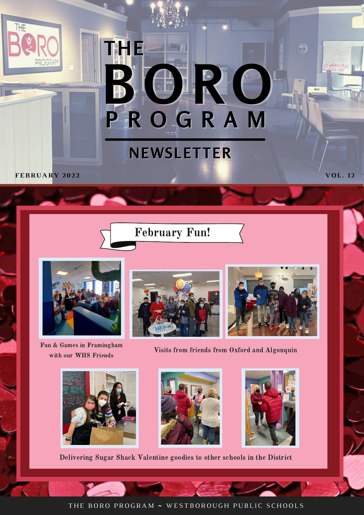# **P R O G R A M B O R O THE**

### **NEWSLETTER**

**FEBRUARY 202 2 VOL. 1 2**

THE





Fun & Games in Framingham with our WHS Friends





 $\bullet$ 

**MILITA** 

Visits from friends from Oxford and Algonquin







Delivering Sugar Shack Valentine goodies to other schools in the District

THE BORO PROGRAM ~ WESTBOROUGH PUBLIC SCHOOLS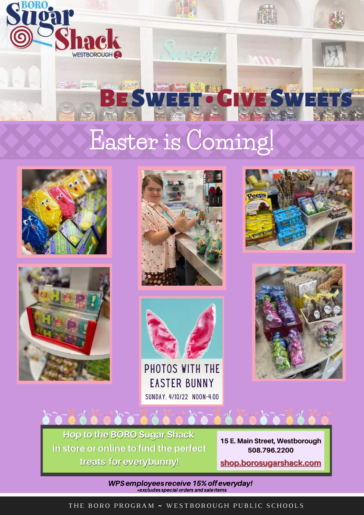

### **Easter is Coming!**









PHOTOS WITH THE Easter Bunny SUNDAY, 4/10/22 NOON-4:00





**Hop to the BORO Sugar Shack in store or online to find the perfect treats for everybunny!**

スえーレンティスーン

**15 E. Main Street, Westborough 508.796.2200 [shop.borosugarshack.com](https://shop.borosugarshack.com/)**

WPS employees receive 15% off everyday!  $\overline{\phantom{a}}$   $\ast$  excludes special orders and sale items

THE BORO PROGRAM ~ WESTBOROUGH PUBLIC SCHOOLS